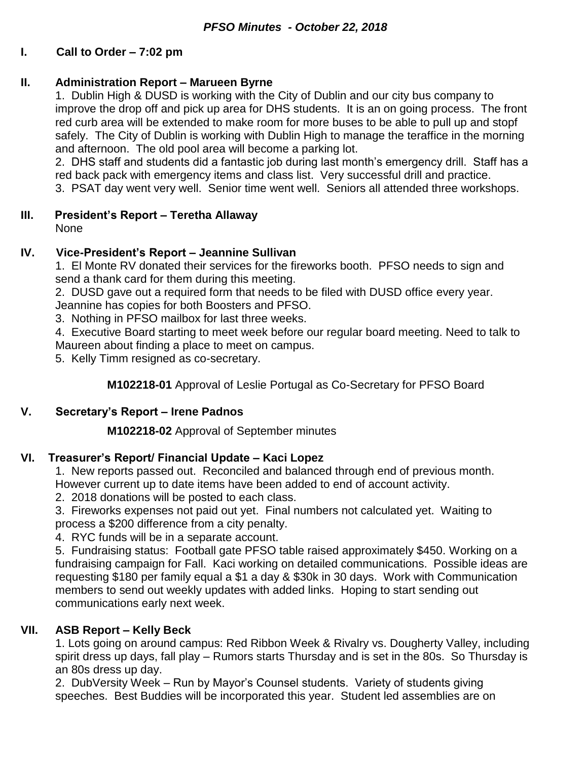# **I. Call to Order – 7:02 pm**

## **II. Administration Report – Marueen Byrne**

1. Dublin High & DUSD is working with the City of Dublin and our city bus company to improve the drop off and pick up area for DHS students. It is an on going process. The front red curb area will be extended to make room for more buses to be able to pull up and stopf safely. The City of Dublin is working with Dublin High to manage the teraffice in the morning and afternoon. The old pool area will become a parking lot.

2. DHS staff and students did a fantastic job during last month's emergency drill. Staff has a red back pack with emergency items and class list. Very successful drill and practice. 3. PSAT day went very well. Senior time went well. Seniors all attended three workshops.

#### **III. President's Report – Teretha Allaway**

None

# **IV. Vice-President's Report – Jeannine Sullivan**

1. El Monte RV donated their services for the fireworks booth. PFSO needs to sign and send a thank card for them during this meeting.

2. DUSD gave out a required form that needs to be filed with DUSD office every year. Jeannine has copies for both Boosters and PFSO.

3. Nothing in PFSO mailbox for last three weeks.

4. Executive Board starting to meet week before our regular board meeting. Need to talk to Maureen about finding a place to meet on campus.

5. Kelly Timm resigned as co-secretary.

**M102218-01** Approval of Leslie Portugal as Co-Secretary for PFSO Board

# **V. Secretary's Report – Irene Padnos**

**M102218-02** Approval of September minutes

# **VI. Treasurer's Report/ Financial Update – Kaci Lopez**

1. New reports passed out. Reconciled and balanced through end of previous month. However current up to date items have been added to end of account activity.

2. 2018 donations will be posted to each class.

3. Fireworks expenses not paid out yet. Final numbers not calculated yet. Waiting to process a \$200 difference from a city penalty.

4. RYC funds will be in a separate account.

5. Fundraising status: Football gate PFSO table raised approximately \$450. Working on a fundraising campaign for Fall. Kaci working on detailed communications. Possible ideas are requesting \$180 per family equal a \$1 a day & \$30k in 30 days. Work with Communication members to send out weekly updates with added links. Hoping to start sending out communications early next week.

# **VII. ASB Report – Kelly Beck**

1. Lots going on around campus: Red Ribbon Week & Rivalry vs. Dougherty Valley, including spirit dress up days, fall play – Rumors starts Thursday and is set in the 80s. So Thursday is an 80s dress up day.

2. DubVersity Week – Run by Mayor's Counsel students. Variety of students giving speeches. Best Buddies will be incorporated this year. Student led assemblies are on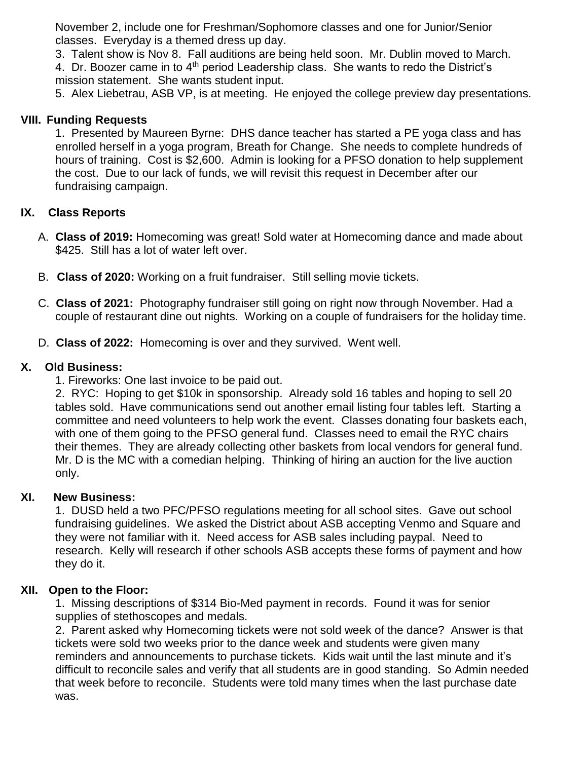November 2, include one for Freshman/Sophomore classes and one for Junior/Senior classes. Everyday is a themed dress up day.

3. Talent show is Nov 8. Fall auditions are being held soon. Mr. Dublin moved to March.

4. Dr. Boozer came in to 4<sup>th</sup> period Leadership class. She wants to redo the District's mission statement. She wants student input.

5. Alex Liebetrau, ASB VP, is at meeting. He enjoyed the college preview day presentations.

#### **VIII. Funding Requests**

1. Presented by Maureen Byrne: DHS dance teacher has started a PE yoga class and has enrolled herself in a yoga program, Breath for Change. She needs to complete hundreds of hours of training. Cost is \$2,600. Admin is looking for a PFSO donation to help supplement the cost. Due to our lack of funds, we will revisit this request in December after our fundraising campaign.

# **IX. Class Reports**

- A. **Class of 2019:** Homecoming was great! Sold water at Homecoming dance and made about \$425. Still has a lot of water left over.
- B. **Class of 2020:** Working on a fruit fundraiser. Still selling movie tickets.
- C. **Class of 2021:** Photography fundraiser still going on right now through November. Had a couple of restaurant dine out nights. Working on a couple of fundraisers for the holiday time.
- D. **Class of 2022:** Homecoming is over and they survived. Went well.

#### **X. Old Business:**

1. Fireworks: One last invoice to be paid out.

2. RYC: Hoping to get \$10k in sponsorship. Already sold 16 tables and hoping to sell 20 tables sold. Have communications send out another email listing four tables left. Starting a committee and need volunteers to help work the event. Classes donating four baskets each, with one of them going to the PFSO general fund. Classes need to email the RYC chairs their themes. They are already collecting other baskets from local vendors for general fund. Mr. D is the MC with a comedian helping. Thinking of hiring an auction for the live auction only.

#### **XI. New Business:**

1. DUSD held a two PFC/PFSO regulations meeting for all school sites. Gave out school fundraising guidelines. We asked the District about ASB accepting Venmo and Square and they were not familiar with it. Need access for ASB sales including paypal. Need to research. Kelly will research if other schools ASB accepts these forms of payment and how they do it.

#### **XII. Open to the Floor:**

1. Missing descriptions of \$314 Bio-Med payment in records. Found it was for senior supplies of stethoscopes and medals.

2. Parent asked why Homecoming tickets were not sold week of the dance? Answer is that tickets were sold two weeks prior to the dance week and students were given many reminders and announcements to purchase tickets. Kids wait until the last minute and it's difficult to reconcile sales and verify that all students are in good standing. So Admin needed that week before to reconcile. Students were told many times when the last purchase date was.